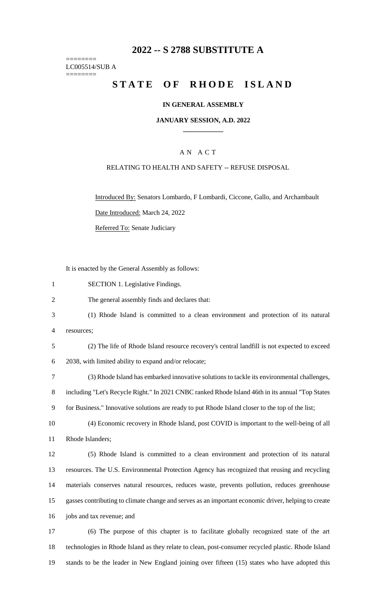## **-- S 2788 SUBSTITUTE A**

======== LC005514/SUB A ========

# **STATE OF RHODE ISLAND**

#### **IN GENERAL ASSEMBLY**

#### **JANUARY SESSION, A.D. 2022 \_\_\_\_\_\_\_\_\_\_\_\_**

### A N A C T

#### RELATING TO HEALTH AND SAFETY -- REFUSE DISPOSAL

Introduced By: Senators Lombardo, F Lombardi, Ciccone, Gallo, and Archambault Date Introduced: March 24, 2022

Referred To: Senate Judiciary

It is enacted by the General Assembly as follows:

SECTION 1. Legislative Findings.

The general assembly finds and declares that:

- (1) Rhode Island is committed to a clean environment and protection of its natural resources;
- (2) The life of Rhode Island resource recovery's central landfill is not expected to exceed

2038, with limited ability to expand and/or relocate;

(3) Rhode Island has embarked innovative solutions to tackle its environmental challenges,

including "Let's Recycle Right." In 2021 CNBC ranked Rhode Island 46th in its annual "Top States

for Business." Innovative solutions are ready to put Rhode Island closer to the top of the list;

 (4) Economic recovery in Rhode Island, post COVID is important to the well-being of all Rhode Islanders;

 (5) Rhode Island is committed to a clean environment and protection of its natural resources. The U.S. Environmental Protection Agency has recognized that reusing and recycling materials conserves natural resources, reduces waste, prevents pollution, reduces greenhouse gasses contributing to climate change and serves as an important economic driver, helping to create jobs and tax revenue; and

 (6) The purpose of this chapter is to facilitate globally recognized state of the art technologies in Rhode Island as they relate to clean, post-consumer recycled plastic. Rhode Island stands to be the leader in New England joining over fifteen (15) states who have adopted this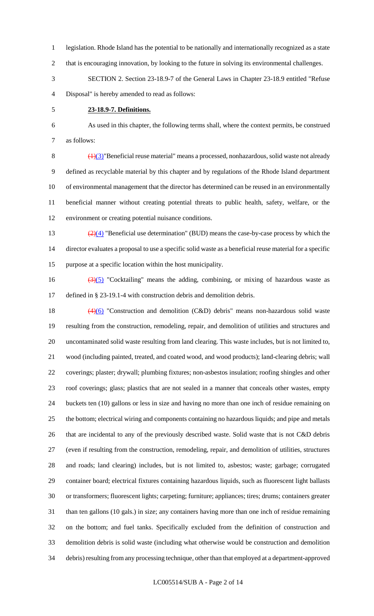- legislation. Rhode Island has the potential to be nationally and internationally recognized as a state
- 2 that is encouraging innovation, by looking to the future in solving its environmental challenges.
- SECTION 2. Section 23-18.9-7 of the General Laws in Chapter 23-18.9 entitled "Refuse Disposal" is hereby amended to read as follows:
- 

#### **23-18.9-7. Definitions.**

 As used in this chapter, the following terms shall, where the context permits, be construed as follows:

 $8 \left( \frac{1}{3} \right)$ "Beneficial reuse material" means a processed, nonhazardous, solid waste not already defined as recyclable material by this chapter and by regulations of the Rhode Island department of environmental management that the director has determined can be reused in an environmentally beneficial manner without creating potential threats to public health, safety, welfare, or the environment or creating potential nuisance conditions.

13  $\frac{(2)(4)}{2}$  "Beneficial use determination" (BUD) means the case-by-case process by which the director evaluates a proposal to use a specific solid waste as a beneficial reuse material for a specific purpose at a specific location within the host municipality.

16  $\left(\frac{3(5)}{2}\right)$  "Cocktailing" means the adding, combining, or mixing of hazardous waste as defined in § 23-19.1-4 with construction debris and demolition debris.

 $\left(4\right)\left(6\right)$  "Construction and demolition (C&D) debris" means non-hazardous solid waste resulting from the construction, remodeling, repair, and demolition of utilities and structures and uncontaminated solid waste resulting from land clearing. This waste includes, but is not limited to, wood (including painted, treated, and coated wood, and wood products); land-clearing debris; wall coverings; plaster; drywall; plumbing fixtures; non-asbestos insulation; roofing shingles and other roof coverings; glass; plastics that are not sealed in a manner that conceals other wastes, empty buckets ten (10) gallons or less in size and having no more than one inch of residue remaining on the bottom; electrical wiring and components containing no hazardous liquids; and pipe and metals 26 that are incidental to any of the previously described waste. Solid waste that is not C&D debris (even if resulting from the construction, remodeling, repair, and demolition of utilities, structures and roads; land clearing) includes, but is not limited to, asbestos; waste; garbage; corrugated container board; electrical fixtures containing hazardous liquids, such as fluorescent light ballasts or transformers; fluorescent lights; carpeting; furniture; appliances; tires; drums; containers greater than ten gallons (10 gals.) in size; any containers having more than one inch of residue remaining on the bottom; and fuel tanks. Specifically excluded from the definition of construction and demolition debris is solid waste (including what otherwise would be construction and demolition debris) resulting from any processing technique, other than that employed at a department-approved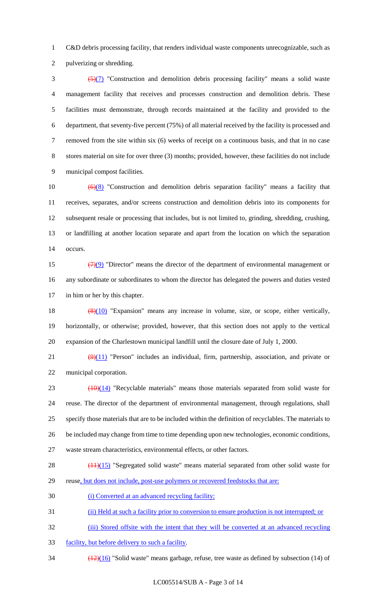C&D debris processing facility, that renders individual waste components unrecognizable, such as

pulverizing or shredding.

 $\frac{5(7)}{2}$  "Construction and demolition debris processing facility" means a solid waste management facility that receives and processes construction and demolition debris. These facilities must demonstrate, through records maintained at the facility and provided to the department, that seventy-five percent (75%) of all material received by the facility is processed and removed from the site within six (6) weeks of receipt on a continuous basis, and that in no case stores material on site for over three (3) months; provided, however, these facilities do not include municipal compost facilities.

 $\left(\frac{6}{8}\right)$  "Construction and demolition debris separation facility" means a facility that receives, separates, and/or screens construction and demolition debris into its components for subsequent resale or processing that includes, but is not limited to, grinding, shredding, crushing, or landfilling at another location separate and apart from the location on which the separation occurs.

15  $(7)(9)$  "Director" means the director of the department of environmental management or any subordinate or subordinates to whom the director has delegated the powers and duties vested in him or her by this chapter.

18 (8)(10) "Expansion" means any increase in volume, size, or scope, either vertically, horizontally, or otherwise; provided, however, that this section does not apply to the vertical expansion of the Charlestown municipal landfill until the closure date of July 1, 2000.

21  $(9)(11)$  "Person" includes an individual, firm, partnership, association, and private or municipal corporation.

 $(10)(14)$  "Recyclable materials" means those materials separated from solid waste for reuse. The director of the department of environmental management, through regulations, shall specify those materials that are to be included within the definition of recyclables. The materials to be included may change from time to time depending upon new technologies, economic conditions, waste stream characteristics, environmental effects, or other factors.

28 (11)(15) "Segregated solid waste" means material separated from other solid waste for 29 reuse, but does not include, post-use polymers or recovered feedstocks that are:

(i) Converted at an advanced recycling facility;

(ii) Held at such a facility prior to conversion to ensure production is not interrupted; or

32 (iii) Stored offsite with the intent that they will be converted at an advanced recycling

facility, but before delivery to such a facility.

 $\frac{(12)(16)}{2}$  "Solid waste" means garbage, refuse, tree waste as defined by subsection (14) of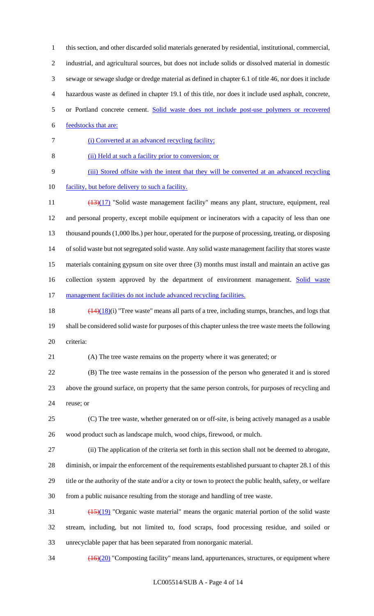this section, and other discarded solid materials generated by residential, institutional, commercial,

 industrial, and agricultural sources, but does not include solids or dissolved material in domestic sewage or sewage sludge or dredge material as defined in chapter 6.1 of title 46, nor does it include hazardous waste as defined in chapter 19.1 of this title, nor does it include used asphalt, concrete,

- or Portland concrete cement. Solid waste does not include post-use polymers or recovered
- feedstocks that are:
- (i) Converted at an advanced recycling facility;
- (ii) Held at such a facility prior to conversion; or

(iii) Stored offsite with the intent that they will be converted at an advanced recycling

10 facility, but before delivery to such a facility.

11 (13)(17) "Solid waste management facility" means any plant, structure, equipment, real and personal property, except mobile equipment or incinerators with a capacity of less than one thousand pounds (1,000 lbs.) per hour, operated for the purpose of processing, treating, or disposing of solid waste but not segregated solid waste. Any solid waste management facility that stores waste materials containing gypsum on site over three (3) months must install and maintain an active gas 16 collection system approved by the department of environment management. Solid waste 17 management facilities do not include advanced recycling facilities.

18  $\left(\frac{(14)(18)}{(17)}\right)$  "Tree waste" means all parts of a tree, including stumps, branches, and logs that shall be considered solid waste for purposes of this chapter unless the tree waste meets the following criteria:

(A) The tree waste remains on the property where it was generated; or

 (B) The tree waste remains in the possession of the person who generated it and is stored above the ground surface, on property that the same person controls, for purposes of recycling and reuse; or

 (C) The tree waste, whether generated on or off-site, is being actively managed as a usable wood product such as landscape mulch, wood chips, firewood, or mulch.

 (ii) The application of the criteria set forth in this section shall not be deemed to abrogate, diminish, or impair the enforcement of the requirements established pursuant to chapter 28.1 of this title or the authority of the state and/or a city or town to protect the public health, safety, or welfare from a public nuisance resulting from the storage and handling of tree waste.

 $\frac{(15)(19)}{20}$  "Organic waste material" means the organic material portion of the solid waste stream, including, but not limited to, food scraps, food processing residue, and soiled or unrecyclable paper that has been separated from nonorganic material.

34 (16)(20) "Composting facility" means land, appurtenances, structures, or equipment where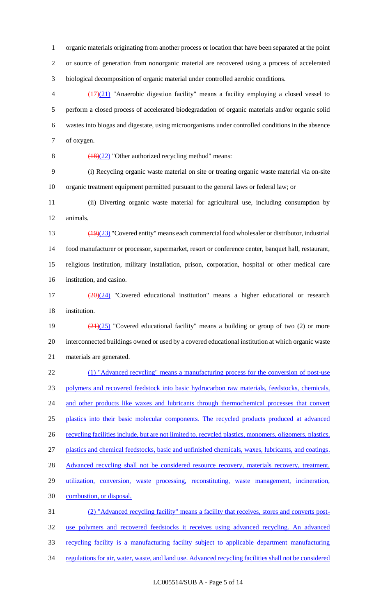organic materials originating from another process or location that have been separated at the point or source of generation from nonorganic material are recovered using a process of accelerated biological decomposition of organic material under controlled aerobic conditions.

 $\left(\frac{(17)}{(21)}\right)$  "Anaerobic digestion facility" means a facility employing a closed vessel to perform a closed process of accelerated biodegradation of organic materials and/or organic solid wastes into biogas and digestate, using microorganisms under controlled conditions in the absence of oxygen.

8  $(18)(22)$  "Other authorized recycling method" means:

 (i) Recycling organic waste material on site or treating organic waste material via on-site organic treatment equipment permitted pursuant to the general laws or federal law; or

 (ii) Diverting organic waste material for agricultural use, including consumption by animals.

13 (19)(23) "Covered entity" means each commercial food wholesaler or distributor, industrial food manufacturer or processor, supermarket, resort or conference center, banquet hall, restaurant, religious institution, military installation, prison, corporation, hospital or other medical care institution, and casino.

 (20)(24) "Covered educational institution" means a higher educational or research institution.

19  $\frac{(21)(25)}{(21)(25)}$  "Covered educational facility" means a building or group of two (2) or more interconnected buildings owned or used by a covered educational institution at which organic waste materials are generated.

 (1) "Advanced recycling" means a manufacturing process for the conversion of post-use polymers and recovered feedstock into basic hydrocarbon raw materials, feedstocks, chemicals, 24 and other products like waxes and lubricants through thermochemical processes that convert 25 plastics into their basic molecular components. The recycled products produced at advanced 26 recycling facilities include, but are not limited to, recycled plastics, monomers, oligomers, plastics, plastics and chemical feedstocks, basic and unfinished chemicals, waxes, lubricants, and coatings. 28 Advanced recycling shall not be considered resource recovery, materials recovery, treatment, 29 utilization, conversion, waste processing, reconstituting, waste management, incineration, combustion, or disposal. (2) "Advanced recycling facility" means a facility that receives, stores and converts post-use polymers and recovered feedstocks it receives using advanced recycling. An advanced

recycling facility is a manufacturing facility subject to applicable department manufacturing

34 regulations for air, water, waste, and land use. Advanced recycling facilities shall not be considered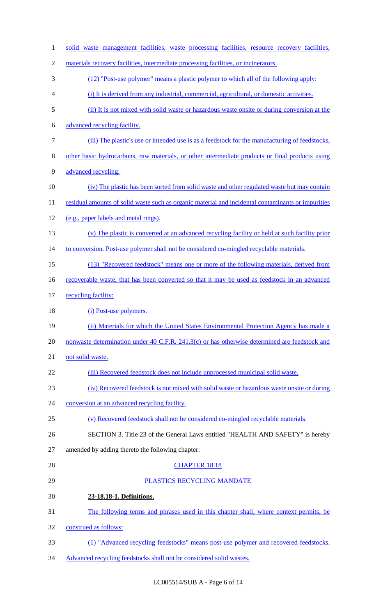| $\mathbf{1}$   | solid waste management facilities, waste processing facilities, resource recovery facilities,      |
|----------------|----------------------------------------------------------------------------------------------------|
| $\overline{2}$ | materials recovery facilities, intermediate processing facilities, or incinerators.                |
| 3              | (12) "Post-use polymer" means a plastic polymer to which all of the following apply:               |
| 4              | (i) It is derived from any industrial, commercial, agricultural, or domestic activities.           |
| 5              | (ii) It is not mixed with solid waste or hazardous waste onsite or during conversion at the        |
| 6              | advanced recycling facility.                                                                       |
| 7              | (iii) The plastic's use or intended use is as a feedstock for the manufacturing of feedstocks,     |
| 8              | other basic hydrocarbons, raw materials, or other intermediate products or final products using    |
| 9              | advanced recycling.                                                                                |
| 10             | (iv) The plastic has been sorted from solid waste and other regulated waste but may contain        |
| 11             | residual amounts of solid waste such as organic material and incidental contaminants or impurities |
| 12             | (e.g., paper labels and metal rings).                                                              |
| 13             | (v) The plastic is converted at an advanced recycling facility or held at such facility prior      |
| 14             | to conversion. Post-use polymer shall not be considered co-mingled recyclable materials.           |
| 15             | (13) "Recovered feedstock" means one or more of the following materials, derived from              |
| 16             | recoverable waste, that has been converted so that it may be used as feedstock in an advanced      |
| 17             | recycling facility:                                                                                |
| 18             | (i) Post-use polymers.                                                                             |
| 19             | (ii) Materials for which the United States Environmental Protection Agency has made a              |
| 20             | nonwaste determination under 40 C.F.R. 241.3(c) or has otherwise determined are feedstock and      |
| 21             | not solid waste.                                                                                   |
| 22             | (iii) Recovered feedstock does not include unprocessed municipal solid waste.                      |
| 23             | (iv) Recovered feedstock is not mixed with solid waste or hazardous waste onsite or during         |
| 24             | conversion at an advanced recycling facility.                                                      |
| 25             | (v) Recovered feedstock shall not be considered co-mingled recyclable materials.                   |
| 26             | SECTION 3. Title 23 of the General Laws entitled "HEALTH AND SAFETY" is hereby                     |
| 27             | amended by adding thereto the following chapter:                                                   |
| 28             | <b>CHAPTER 18.18</b>                                                                               |
| 29             | PLASTICS RECYCLING MANDATE                                                                         |
| 30             | 23-18.18-1. Definitions.                                                                           |
| 31             | The following terms and phrases used in this chapter shall, where context permits, be              |
| 32             | construed as follows:                                                                              |
| 33             | (1) "Advanced recycling feedstocks" means post-use polymer and recovered feedstocks.               |
| 34             | Advanced recycling feedstocks shall not be considered solid wastes.                                |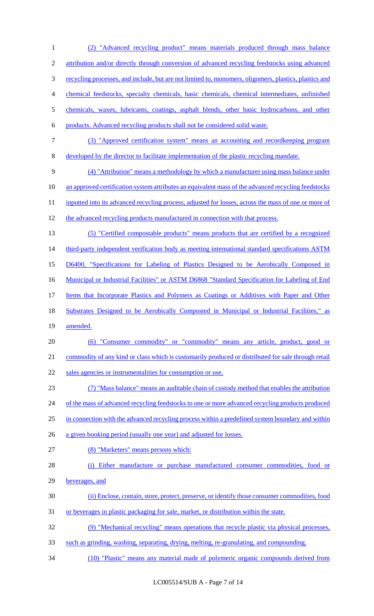(2) "Advanced recycling product" means materials produced through mass balance 2 attribution and/or directly through conversion of advanced recycling feedstocks using advanced recycling processes, and include, but are not limited to, monomers, oligomers, plastics, plastics and chemical feedstocks, specialty chemicals, basic chemicals, chemical intermediates, unfinished chemicals, waxes, lubricants, coatings, asphalt blends, other basic hydrocarbons, and other products. Advanced recycling products shall not be considered solid waste. (3) "Approved certification system" means an accounting and recordkeeping program developed by the director to facilitate implementation of the plastic recycling mandate. (4) "Attribution" means a methodology by which a manufacturer using mass balance under an approved certification system attributes an equivalent mass of the advanced recycling feedstocks 11 inputted into its advanced recycling process, adjusted for losses, across the mass of one or more of 12 the advanced recycling products manufactured in connection with that process. (5) "Certified compostable products" means products that are certified by a recognized 14 third-party independent verification body as meeting international standard specifications ASTM D6400, "Specifications for Labeling of Plastics Designed to be Aerobically Composed in 16 Municipal or Industrial Facilities" or ASTM D6868 "Standard Specification for Labeling of End Items that Incorporate Plastics and Polymers as Coatings or Additives with Paper and Other 18 Substrates Designed to be Aerobically Composted in Municipal or Industrial Facilities," as 19 amended. (6) "Consumer commodity" or "commodity" means any article, product, good or commodity of any kind or class which is customarily produced or distributed for sale through retail sales agencies or instrumentalities for consumption or use. (7) "Mass balance" means an auditable chain of custody method that enables the attribution 24 of the mass of advanced recycling feedstocks to one or more advanced recycling products produced 25 in connection with the advanced recycling process within a predefined system boundary and within a given booking period (usually one year) and adjusted for losses. (8) "Marketers" means persons which: (i) Either manufacture or purchase manufactured consumer commodities, food or beverages, and (ii) Enclose, contain, store, protect, preserve, or identify those consumer commodities, food or beverages in plastic packaging for sale, market, or distribution within the state. (9) "Mechanical recycling" means operations that recycle plastic via physical processes, such as grinding, washing, separating, drying, melting, re-granulating, and compounding. (10) "Plastic" means any material made of polymeric organic compounds derived from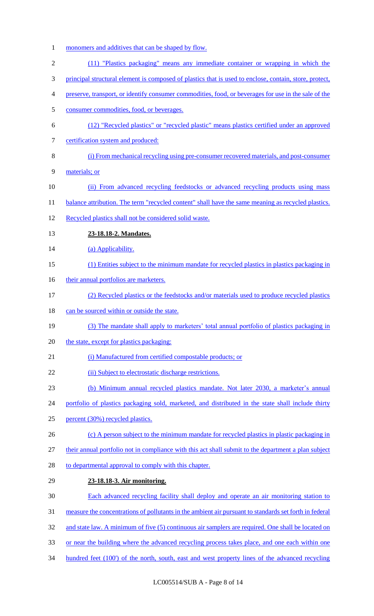monomers and additives that can be shaped by flow. (11) "Plastics packaging" means any immediate container or wrapping in which the principal structural element is composed of plastics that is used to enclose, contain, store, protect, preserve, transport, or identify consumer commodities, food, or beverages for use in the sale of the consumer commodities, food, or beverages. (12) "Recycled plastics" or "recycled plastic" means plastics certified under an approved 7 certification system and produced: (i) From mechanical recycling using pre-consumer recovered materials, and post-consumer materials; or (ii) From advanced recycling feedstocks or advanced recycling products using mass 11 balance attribution. The term "recycled content" shall have the same meaning as recycled plastics. Recycled plastics shall not be considered solid waste. **23-18.18-2. Mandates.**  14 (a) Applicability. (1) Entities subject to the minimum mandate for recycled plastics in plastics packaging in 16 their annual portfolios are marketers. (2) Recycled plastics or the feedstocks and/or materials used to produce recycled plastics 18 can be sourced within or outside the state. (3) The mandate shall apply to marketers' total annual portfolio of plastics packaging in 20 the state, except for plastics packaging: 21 (i) Manufactured from certified compostable products; or 22 (ii) Subject to electrostatic discharge restrictions. (b) Minimum annual recycled plastics mandate. Not later 2030, a marketer's annual 24 portfolio of plastics packaging sold, marketed, and distributed in the state shall include thirty percent (30%) recycled plastics. 26 (c) A person subject to the minimum mandate for recycled plastics in plastic packaging in their annual portfolio not in compliance with this act shall submit to the department a plan subject 28 to departmental approval to comply with this chapter. **23-18.18-3. Air monitoring.**  Each advanced recycling facility shall deploy and operate an air monitoring station to measure the concentrations of pollutants in the ambient air pursuant to standards set forth in federal 32 and state law. A minimum of five (5) continuous air samplers are required. One shall be located on or near the building where the advanced recycling process takes place, and one each within one 34 hundred feet (100') of the north, south, east and west property lines of the advanced recycling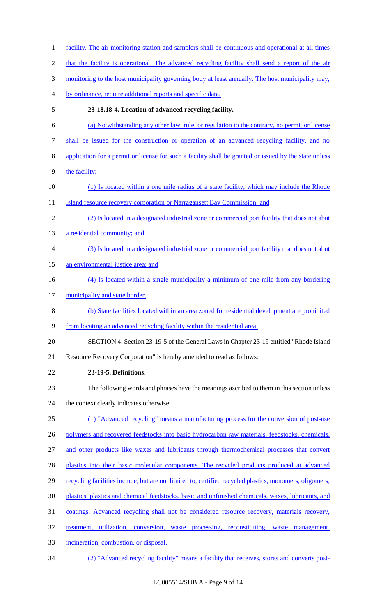facility. The air monitoring station and samplers shall be continuous and operational at all times that the facility is operational. The advanced recycling facility shall send a report of the air 3 monitoring to the host municipality governing body at least annually. The host municipality may, by ordinance, require additional reports and specific data. **23-18.18-4. Location of advanced recycling facility.**  (a) Notwithstanding any other law, rule, or regulation to the contrary, no permit or license shall be issued for the construction or operation of an advanced recycling facility, and no application for a permit or license for such a facility shall be granted or issued by the state unless 9 the facility: (1) Is located within a one mile radius of a state facility, which may include the Rhode 11 Island resource recovery corporation or Narragansett Bay Commission; and (2) Is located in a designated industrial zone or commercial port facility that does not abut 13 a residential community; and (3) Is located in a designated industrial zone or commercial port facility that does not abut 15 an environmental justice area; and (4) Is located within a single municipality a minimum of one mile from any bordering 17 municipality and state border. (b) State facilities located within an area zoned for residential development are prohibited from locating an advanced recycling facility within the residential area. SECTION 4. Section 23-19-5 of the General Laws in Chapter 23-19 entitled "Rhode Island Resource Recovery Corporation" is hereby amended to read as follows: **23-19-5. Definitions.** The following words and phrases have the meanings ascribed to them in this section unless the context clearly indicates otherwise: (1) "Advanced recycling" means a manufacturing process for the conversion of post-use 26 polymers and recovered feedstocks into basic hydrocarbon raw materials, feedstocks, chemicals, and other products like waxes and lubricants through thermochemical processes that convert 28 plastics into their basic molecular components. The recycled products produced at advanced 29 recycling facilities include, but are not limited to, certified recycled plastics, monomers, oligomers, plastics, plastics and chemical feedstocks, basic and unfinished chemicals, waxes, lubricants, and coatings. Advanced recycling shall not be considered resource recovery, materials recovery, treatment, utilization, conversion, waste processing, reconstituting, waste management, incineration, combustion, or disposal. (2) "Advanced recycling facility" means a facility that receives, stores and converts post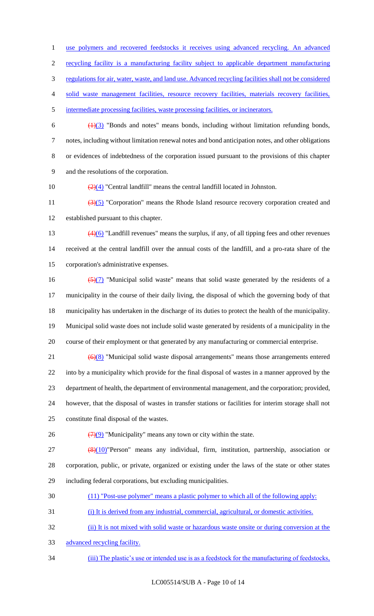use polymers and recovered feedstocks it receives using advanced recycling. An advanced

recycling facility is a manufacturing facility subject to applicable department manufacturing

regulations for air, water, waste, and land use. Advanced recycling facilities shall not be considered

solid waste management facilities, resource recovery facilities, materials recovery facilities,

intermediate processing facilities, waste processing facilities, or incinerators.

 $\frac{(1)(3)}{1}$  "Bonds and notes" means bonds, including without limitation refunding bonds, notes, including without limitation renewal notes and bond anticipation notes, and other obligations or evidences of indebtedness of the corporation issued pursuant to the provisions of this chapter and the resolutions of the corporation.

10  $\left(\frac{2}{4}\right)$  "Central landfill" means the central landfill located in Johnston.

11  $\left(\frac{3}{5}\right)$  "Corporation" means the Rhode Island resource recovery corporation created and established pursuant to this chapter.

 (4)(6) "Landfill revenues" means the surplus, if any, of all tipping fees and other revenues received at the central landfill over the annual costs of the landfill, and a pro-rata share of the corporation's administrative expenses.

 $\frac{5(7)}{2}$  "Municipal solid waste" means that solid waste generated by the residents of a municipality in the course of their daily living, the disposal of which the governing body of that municipality has undertaken in the discharge of its duties to protect the health of the municipality. Municipal solid waste does not include solid waste generated by residents of a municipality in the course of their employment or that generated by any manufacturing or commercial enterprise.

 ( $\Theta$ )(8) "Municipal solid waste disposal arrangements" means those arrangements entered into by a municipality which provide for the final disposal of wastes in a manner approved by the department of health, the department of environmental management, and the corporation; provided, however, that the disposal of wastes in transfer stations or facilities for interim storage shall not

constitute final disposal of the wastes.

26  $(7)(9)$  "Municipality" means any town or city within the state.

 ( $\frac{8}{10}$ )"Person" means any individual, firm, institution, partnership, association or corporation, public, or private, organized or existing under the laws of the state or other states including federal corporations, but excluding municipalities.

- (11) "Post-use polymer" means a plastic polymer to which all of the following apply:
- (i) It is derived from any industrial, commercial, agricultural, or domestic activities.

(ii) It is not mixed with solid waste or hazardous waste onsite or during conversion at the

- advanced recycling facility.
- (iii) The plastic's use or intended use is as a feedstock for the manufacturing of feedstocks,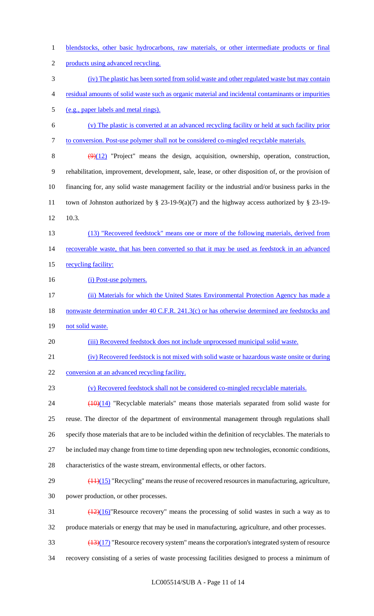blendstocks, other basic hydrocarbons, raw materials, or other intermediate products or final 2 products using advanced recycling. (iv) The plastic has been sorted from solid waste and other regulated waste but may contain residual amounts of solid waste such as organic material and incidental contaminants or impurities (e.g., paper labels and metal rings). (v) The plastic is converted at an advanced recycling facility or held at such facility prior to conversion. Post-use polymer shall not be considered co-mingled recyclable materials.  $(9)(12)$  "Project" means the design, acquisition, ownership, operation, construction, rehabilitation, improvement, development, sale, lease, or other disposition of, or the provision of financing for, any solid waste management facility or the industrial and/or business parks in the town of Johnston authorized by § 23-19-9(a)(7) and the highway access authorized by § 23-19- 10.3. (13) "Recovered feedstock" means one or more of the following materials, derived from recoverable waste, that has been converted so that it may be used as feedstock in an advanced 15 recycling facility: 16 (i) Post-use polymers. (ii) Materials for which the United States Environmental Protection Agency has made a 18 nonwaste determination under 40 C.F.R. 241.3(c) or has otherwise determined are feedstocks and 19 not solid waste. (iii) Recovered feedstock does not include unprocessed municipal solid waste. (iv) Recovered feedstock is not mixed with solid waste or hazardous waste onsite or during 22 conversion at an advanced recycling facility. (v) Recovered feedstock shall not be considered co-mingled recyclable materials. 24 (10)(14) "Recyclable materials" means those materials separated from solid waste for reuse. The director of the department of environmental management through regulations shall specify those materials that are to be included within the definition of recyclables. The materials to be included may change from time to time depending upon new technologies, economic conditions, characteristics of the waste stream, environmental effects, or other factors.  $29 \left( \frac{(11)(15)}{(11)(15)} \right)$  "Recycling" means the reuse of recovered resources in manufacturing, agriculture, power production, or other processes.  $\frac{(12)(16)}{28}$  Resource recovery" means the processing of solid wastes in such a way as to produce materials or energy that may be used in manufacturing, agriculture, and other processes.  $\frac{(13)(17)}{2}$  "Resource recovery system" means the corporation's integrated system of resource recovery consisting of a series of waste processing facilities designed to process a minimum of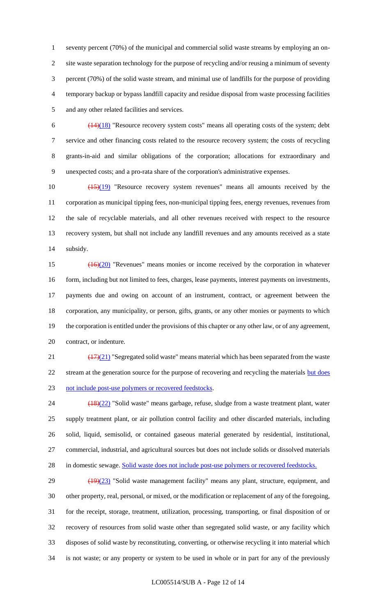seventy percent (70%) of the municipal and commercial solid waste streams by employing an on- site waste separation technology for the purpose of recycling and/or reusing a minimum of seventy percent (70%) of the solid waste stream, and minimal use of landfills for the purpose of providing temporary backup or bypass landfill capacity and residue disposal from waste processing facilities and any other related facilities and services.

 $\frac{(14)(18)}{8}$  "Resource recovery system costs" means all operating costs of the system; debt service and other financing costs related to the resource recovery system; the costs of recycling grants-in-aid and similar obligations of the corporation; allocations for extraordinary and unexpected costs; and a pro-rata share of the corporation's administrative expenses.

 $\left(\frac{(15)(19)}{(15)(19)}\right)$  "Resource recovery system revenues" means all amounts received by the corporation as municipal tipping fees, non-municipal tipping fees, energy revenues, revenues from the sale of recyclable materials, and all other revenues received with respect to the resource recovery system, but shall not include any landfill revenues and any amounts received as a state subsidy.

 (16)(20) "Revenues" means monies or income received by the corporation in whatever 16 form, including but not limited to fees, charges, lease payments, interest payments on investments, payments due and owing on account of an instrument, contract, or agreement between the corporation, any municipality, or person, gifts, grants, or any other monies or payments to which the corporation is entitled under the provisions of this chapter or any other law, or of any agreement, contract, or indenture.

21  $\left(\frac{(17)(21)}{25}\right)$  "Segregated solid waste" means material which has been separated from the waste 22 stream at the generation source for the purpose of recovering and recycling the materials but does not include post-use polymers or recovered feedstocks.

 (18)(22) "Solid waste" means garbage, refuse, sludge from a waste treatment plant, water supply treatment plant, or air pollution control facility and other discarded materials, including solid, liquid, semisolid, or contained gaseous material generated by residential, institutional, commercial, industrial, and agricultural sources but does not include solids or dissolved materials 28 in domestic sewage. Solid waste does not include post-use polymers or recovered feedstocks.

29 (19)(23) "Solid waste management facility" means any plant, structure, equipment, and other property, real, personal, or mixed, or the modification or replacement of any of the foregoing, for the receipt, storage, treatment, utilization, processing, transporting, or final disposition of or recovery of resources from solid waste other than segregated solid waste, or any facility which disposes of solid waste by reconstituting, converting, or otherwise recycling it into material which is not waste; or any property or system to be used in whole or in part for any of the previously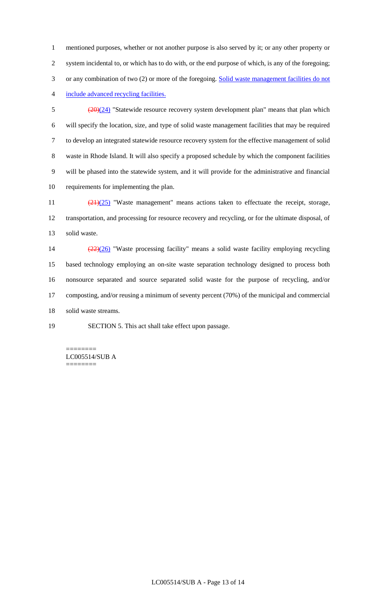mentioned purposes, whether or not another purpose is also served by it; or any other property or system incidental to, or which has to do with, or the end purpose of which, is any of the foregoing; 3 or any combination of two (2) or more of the foregoing. Solid waste management facilities do not include advanced recycling facilities.

 $\frac{(20)(24)}{8}$  "Statewide resource recovery system development plan" means that plan which will specify the location, size, and type of solid waste management facilities that may be required to develop an integrated statewide resource recovery system for the effective management of solid waste in Rhode Island. It will also specify a proposed schedule by which the component facilities will be phased into the statewide system, and it will provide for the administrative and financial requirements for implementing the plan.

11 (21)(25) "Waste management" means actions taken to effectuate the receipt, storage, transportation, and processing for resource recovery and recycling, or for the ultimate disposal, of solid waste.

 (22)(26) "Waste processing facility" means a solid waste facility employing recycling based technology employing an on-site waste separation technology designed to process both nonsource separated and source separated solid waste for the purpose of recycling, and/or composting, and/or reusing a minimum of seventy percent (70%) of the municipal and commercial solid waste streams.

SECTION 5. This act shall take effect upon passage.

LC005514/SUB A ========

========